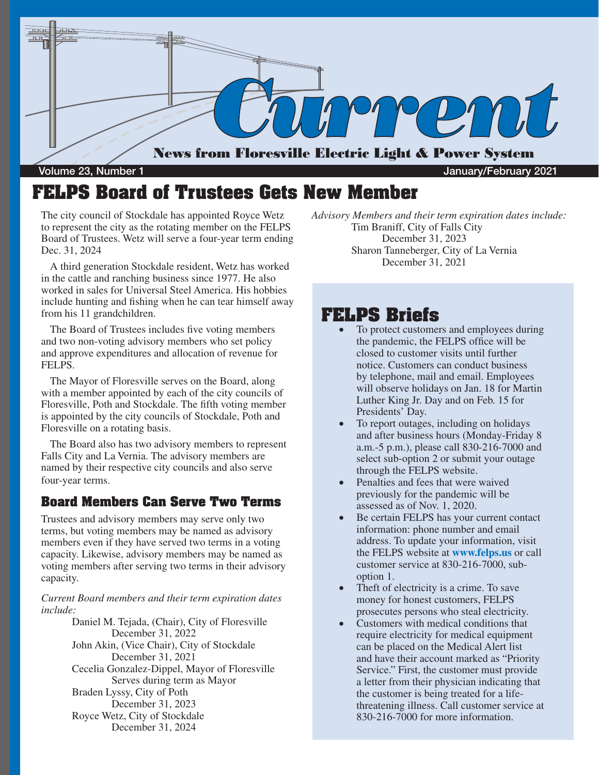

#### Volume 23, Number 1 January/February 2021

### **FELPS Board of Trustees Gets New Member**

The city council of Stockdale has appointed Royce Wetz to represent the city as the rotating member on the FELPS Board of Trustees. Wetz will serve a four-year term ending Dec. 31, 2024

A third generation Stockdale resident, Wetz has worked in the cattle and ranching business since 1977. He also worked in sales for Universal Steel America. His hobbies include hunting and fishing when he can tear himself away from his 11 grandchildren.

The Board of Trustees includes five voting members and two non-voting advisory members who set policy and approve expenditures and allocation of revenue for FELPS.

The Mayor of Floresville serves on the Board, along with a member appointed by each of the city councils of Floresville, Poth and Stockdale. The fifth voting member is appointed by the city councils of Stockdale, Poth and Floresville on a rotating basis.

The Board also has two advisory members to represent Falls City and La Vernia. The advisory members are named by their respective city councils and also serve four-year terms.

#### **Board Members Can Serve Two Terms**

Trustees and advisory members may serve only two terms, but voting members may be named as advisory members even if they have served two terms in a voting capacity. Likewise, advisory members may be named as voting members after serving two terms in their advisory capacity.

*Current Board members and their term expiration dates include:*

> Daniel M. Tejada, (Chair), City of Floresville December 31, 2022 John Akin, (Vice Chair), City of Stockdale December 31, 2021 Cecelia Gonzalez-Dippel, Mayor of Floresville Serves during term as Mayor Braden Lyssy, City of Poth December 31, 2023 Royce Wetz, City of Stockdale December 31, 2024

*Advisory Members and their term expiration dates include:* Tim Braniff, City of Falls City December 31, 2023 Sharon Tanneberger, City of La Vernia December 31, 2021

#### **FELPS Briefs**

- To protect customers and employees during the pandemic, the FELPS office will be closed to customer visits until further notice. Customers can conduct business by telephone, mail and email. Employees will observe holidays on Jan. 18 for Martin Luther King Jr. Day and on Feb. 15 for Presidents' Day.
- To report outages, including on holidays and after business hours (Monday-Friday 8 a.m.-5 p.m.), please call 830-216-7000 and select sub-option 2 or submit your outage through the FELPS website.
- Penalties and fees that were waived previously for the pandemic will be assessed as of Nov. 1, 2020.
- Be certain FELPS has your current contact information: phone number and email address. To update your information, visit the FELPS website at **www.felps.us** or call customer service at 830-216-7000, suboption 1.
- Theft of electricity is a crime. To save money for honest customers, FELPS prosecutes persons who steal electricity.
- Customers with medical conditions that require electricity for medical equipment can be placed on the Medical Alert list and have their account marked as "Priority Service." First, the customer must provide a letter from their physician indicating that the customer is being treated for a lifethreatening illness. Call customer service at 830-216-7000 for more information.